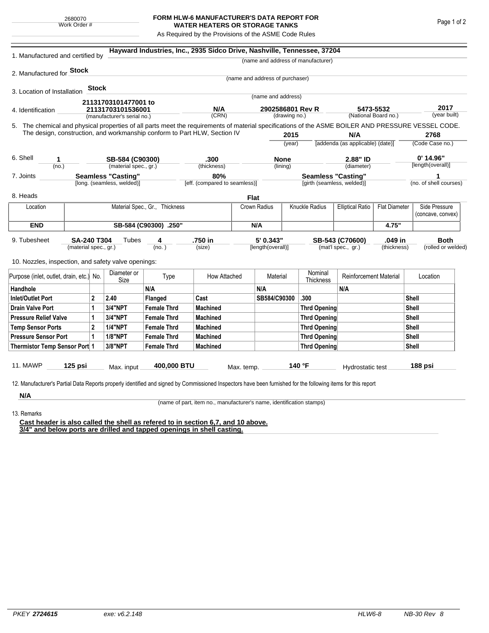## **FORM HLW-6 MANUFACTURER'S DATA REPORT FOR WATER HEATERS OR STORAGE TANKS**

As Required by the Provisions of the ASME Code Rules

| 1. Manufactured and certified by                                                                                                                                                                                                                                                   |                                                         |       |                                          | Hayward Industries, Inc., 2935 Sidco Drive, Nashville, Tennessee, 37204 |                                      |              |                                   |                            |                                    |                                                 |                    |                      |                                    |  |
|------------------------------------------------------------------------------------------------------------------------------------------------------------------------------------------------------------------------------------------------------------------------------------|---------------------------------------------------------|-------|------------------------------------------|-------------------------------------------------------------------------|--------------------------------------|--------------|-----------------------------------|----------------------------|------------------------------------|-------------------------------------------------|--------------------|----------------------|------------------------------------|--|
|                                                                                                                                                                                                                                                                                    |                                                         |       |                                          |                                                                         |                                      |              |                                   |                            | (name and address of manufacturer) |                                                 |                    |                      |                                    |  |
| 2. Manufactured for Stock                                                                                                                                                                                                                                                          |                                                         |       |                                          |                                                                         |                                      |              |                                   |                            |                                    |                                                 |                    |                      |                                    |  |
|                                                                                                                                                                                                                                                                                    |                                                         |       |                                          |                                                                         |                                      |              | (name and address of purchaser)   |                            |                                    |                                                 |                    |                      |                                    |  |
| 3. Location of Installation                                                                                                                                                                                                                                                        |                                                         | Stock |                                          |                                                                         |                                      |              | (name and address)                |                            |                                    |                                                 |                    |                      |                                    |  |
|                                                                                                                                                                                                                                                                                    |                                                         |       | 21131703101477001 to                     |                                                                         |                                      |              |                                   |                            |                                    |                                                 |                    |                      |                                    |  |
| 4. Identification                                                                                                                                                                                                                                                                  |                                                         |       | 21131703101536001                        |                                                                         | N/A<br>(CRN)                         |              | 2902586801 Rev R<br>(drawing no.) |                            |                                    | 5473-5532<br>(National Board no.)               |                    | 2017<br>(year built) |                                    |  |
|                                                                                                                                                                                                                                                                                    |                                                         |       | (manufacturer's serial no.)              |                                                                         |                                      |              |                                   |                            |                                    |                                                 |                    |                      |                                    |  |
| 5. The chemical and physical properties of all parts meet the requirements of material specifications of the ASME BOILER AND PRESSURE VESSEL CODE.<br>The design, construction, and workmanship conform to Part HLW, Section IV<br>2015<br>N/A                                     |                                                         |       |                                          |                                                                         |                                      |              |                                   |                            | 2768                               |                                                 |                    |                      |                                    |  |
|                                                                                                                                                                                                                                                                                    |                                                         |       |                                          |                                                                         |                                      |              | (year)                            |                            |                                    | [addenda (as applicable) (date)]                |                    |                      | (Code Case no.)                    |  |
|                                                                                                                                                                                                                                                                                    |                                                         |       |                                          |                                                                         |                                      |              |                                   |                            |                                    |                                                 |                    |                      |                                    |  |
| 6. Shell<br>1                                                                                                                                                                                                                                                                      |                                                         |       | SB-584 (C90300)<br>(material spec., gr.) |                                                                         | .300                                 |              | <b>None</b>                       |                            | 2.88" ID<br>(diameter)             |                                                 |                    |                      | $0'$ 14.96"<br>[length(overall)]   |  |
| 7. Joints                                                                                                                                                                                                                                                                          | (no.)                                                   |       |                                          |                                                                         | (thickness)                          |              | (lining)                          |                            | <b>Seamless "Casting"</b>          |                                                 |                    | 1                    |                                    |  |
|                                                                                                                                                                                                                                                                                    | <b>Seamless "Casting"</b><br>[long. (seamless, welded)] |       |                                          |                                                                         | 80%<br>[eff. (compared to seamless)] |              |                                   | [girth (seamless, welded)] |                                    |                                                 |                    |                      | (no. of shell courses)             |  |
| 8. Heads                                                                                                                                                                                                                                                                           |                                                         |       |                                          |                                                                         |                                      | <b>Flat</b>  |                                   |                            |                                    |                                                 |                    |                      |                                    |  |
| Material Spec., Gr., Thickness<br>Location                                                                                                                                                                                                                                         |                                                         |       |                                          |                                                                         |                                      |              | Crown Radius                      |                            | Knuckle Radius                     | <b>Elliptical Ratio</b><br><b>Flat Diameter</b> |                    |                      | Side Pressure<br>(concave, convex) |  |
| <b>END</b>                                                                                                                                                                                                                                                                         |                                                         |       |                                          | SB-584 (C90300) .250"                                                   |                                      |              |                                   | N/A                        |                                    |                                                 | 4.75"              |                      |                                    |  |
| 5' 0.343"<br>.750 in<br>.049 in<br><b>Both</b><br>9. Tubesheet<br><b>SA-240 T304</b><br>Tubes<br>SB-543 (C70600)<br>4<br>(mat'l spec., gr.)<br>(material spec., gr.)<br>(no.)<br>(size)<br>[length(overall)]<br>(thickness)<br>10. Nozzles, inspection, and safety valve openings: |                                                         |       |                                          |                                                                         |                                      |              |                                   |                            |                                    |                                                 | (rolled or welded) |                      |                                    |  |
| Purpose (inlet, outlet, drain, etc.) No.                                                                                                                                                                                                                                           |                                                         |       | Diameter or<br>Size                      | Type                                                                    | How Attached                         |              | Material                          |                            | Nominal<br>Thickness               | <b>Reinforcement Material</b>                   |                    | Location             |                                    |  |
| Handhole                                                                                                                                                                                                                                                                           |                                                         |       |                                          | N/A                                                                     |                                      |              | N/A                               |                            |                                    | N/A                                             |                    |                      |                                    |  |
| $\mathbf{2}$<br>Inlet/Outlet Port                                                                                                                                                                                                                                                  |                                                         | 2.40  | Flanged                                  | Cast                                                                    |                                      | SB584/C90300 |                                   | .300                       |                                    |                                                 | Shell              |                      |                                    |  |
| Drain Valve Port<br>1                                                                                                                                                                                                                                                              |                                                         |       | <b>3/4"NPT</b>                           | <b>Female Thrd</b>                                                      | <b>Machined</b>                      |              |                                   |                            | Thrd Opening                       |                                                 |                    |                      | Shell                              |  |
| <b>Pressure Relief Valve</b><br>1                                                                                                                                                                                                                                                  |                                                         |       | 3/4"NPT                                  | <b>Female Thrd</b>                                                      | <b>Machined</b>                      |              |                                   |                            | Thrd Opening                       |                                                 |                    |                      | Shell                              |  |
| $\overline{2}$<br><b>Temp Sensor Ports</b>                                                                                                                                                                                                                                         |                                                         |       | <b>1/4"NPT</b>                           | <b>Female Thrd</b>                                                      | <b>Machined</b>                      |              |                                   |                            | Thrd Opening                       |                                                 |                    | Shell                |                                    |  |
| <b>Pressure Sensor Port</b><br>1                                                                                                                                                                                                                                                   |                                                         |       | <b>1/8"NPT</b>                           | <b>Female Thrd</b>                                                      | <b>Machined</b>                      |              |                                   |                            | Thrd Opening                       |                                                 | Shell              |                      |                                    |  |
| Thermistor Temp Sensor Port 1                                                                                                                                                                                                                                                      |                                                         |       | 3/8"NPT                                  | <b>Female Thrd</b>                                                      | <b>Machined</b>                      |              |                                   |                            | Thrd Opening                       |                                                 | Shell              |                      |                                    |  |
| 11. MAWP<br>12. Manufacturer's Partial Data Reports properly identified and signed by Commissioned Inspectors have been furnished for the following items for this report                                                                                                          | $125$ psi                                               |       | Max. input                               | 400,000 BTU                                                             |                                      | Max. temp.   |                                   |                            | 140 °F                             | Hydrostatic test                                |                    |                      | 188 psi                            |  |
| N/A                                                                                                                                                                                                                                                                                |                                                         |       |                                          |                                                                         |                                      |              |                                   |                            |                                    |                                                 |                    |                      |                                    |  |

(name of part, item no., manufacturer's name, identification stamps)

13. Remarks

**Cast header is also called the shell as refered to in section 6,7, and 10 above. 3/4" and below ports are drilled and tapped openings in shell casting.**